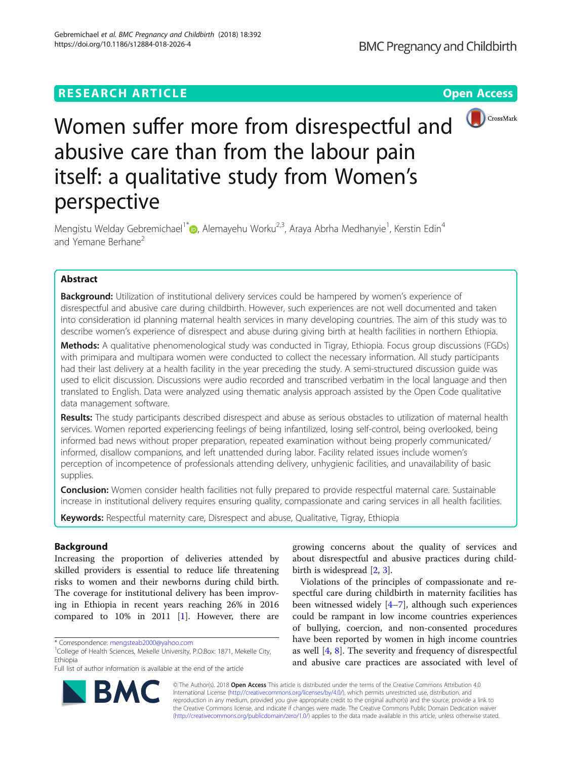## **RESEARCH ARTICLE Example 2018 12:30 The CONSTRUCTION CONSTRUCTION Open Access**



# Women suffer more from disrespectful and abusive care than from the labour pain itself: a qualitative study from Women's perspective

Mengistu Welday Gebremichael<sup>1\*</sup>®[,](http://orcid.org/0000-0002-4371-6792) Alemayehu Worku<sup>2,3</sup>, Araya Abrha Medhanyie<sup>1</sup>, Kerstin Edin<sup>4</sup> and Yemane Berhane<sup>2</sup>

## Abstract

**Background:** Utilization of institutional delivery services could be hampered by women's experience of disrespectful and abusive care during childbirth. However, such experiences are not well documented and taken into consideration id planning maternal health services in many developing countries. The aim of this study was to describe women's experience of disrespect and abuse during giving birth at health facilities in northern Ethiopia.

Methods: A qualitative phenomenological study was conducted in Tigray, Ethiopia. Focus group discussions (FGDs) with primipara and multipara women were conducted to collect the necessary information. All study participants had their last delivery at a health facility in the year preceding the study. A semi-structured discussion guide was used to elicit discussion. Discussions were audio recorded and transcribed verbatim in the local language and then translated to English. Data were analyzed using thematic analysis approach assisted by the Open Code qualitative data management software.

Results: The study participants described disrespect and abuse as serious obstacles to utilization of maternal health services. Women reported experiencing feelings of being infantilized, losing self-control, being overlooked, being informed bad news without proper preparation, repeated examination without being properly communicated/ informed, disallow companions, and left unattended during labor. Facility related issues include women's perception of incompetence of professionals attending delivery, unhygienic facilities, and unavailability of basic supplies.

Conclusion: Women consider health facilities not fully prepared to provide respectful maternal care. Sustainable increase in institutional delivery requires ensuring quality, compassionate and caring services in all health facilities.

Keywords: Respectful maternity care, Disrespect and abuse, Qualitative, Tigray, Ethiopia

## Background

Increasing the proportion of deliveries attended by skilled providers is essential to reduce life threatening risks to women and their newborns during child birth. The coverage for institutional delivery has been improving in Ethiopia in recent years reaching 26% in 2016 compared to  $10\%$  in 2011 [[1\]](#page-5-0). However, there are



Violations of the principles of compassionate and respectful care during childbirth in maternity facilities has been witnessed widely  $[4-7]$  $[4-7]$  $[4-7]$ , although such experiences could be rampant in low income countries experiences of bullying, coercion, and non-consented procedures have been reported by women in high income countries as well [[4](#page-5-0), [8\]](#page-5-0). The severity and frequency of disrespectful and abusive care practices are associated with level of



© The Author(s). 2018 Open Access This article is distributed under the terms of the Creative Commons Attribution 4.0 International License [\(http://creativecommons.org/licenses/by/4.0/](http://creativecommons.org/licenses/by/4.0/)), which permits unrestricted use, distribution, and reproduction in any medium, provided you give appropriate credit to the original author(s) and the source, provide a link to the Creative Commons license, and indicate if changes were made. The Creative Commons Public Domain Dedication waiver [\(http://creativecommons.org/publicdomain/zero/1.0/](http://creativecommons.org/publicdomain/zero/1.0/)) applies to the data made available in this article, unless otherwise stated.

<sup>\*</sup> Correspondence: [mengsteab2000@yahoo.com](mailto:mengsteab2000@yahoo.com) <sup>1</sup>

<sup>&</sup>lt;sup>1</sup>College of Health Sciences, Mekelle University, P.O.Box: 1871, Mekelle City, Ethiopia

Full list of author information is available at the end of the article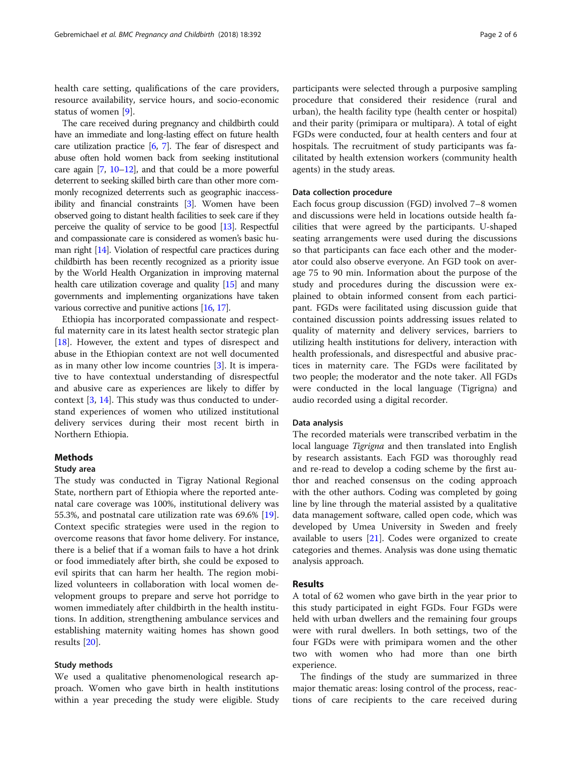health care setting, qualifications of the care providers, resource availability, service hours, and socio-economic status of women [\[9](#page-5-0)].

The care received during pregnancy and childbirth could have an immediate and long-lasting effect on future health care utilization practice [\[6,](#page-5-0) [7](#page-5-0)]. The fear of disrespect and abuse often hold women back from seeking institutional care again [\[7,](#page-5-0) [10](#page-5-0)–[12\]](#page-5-0), and that could be a more powerful deterrent to seeking skilled birth care than other more commonly recognized deterrents such as geographic inaccessibility and financial constraints [[3](#page-5-0)]. Women have been observed going to distant health facilities to seek care if they perceive the quality of service to be good [\[13](#page-5-0)]. Respectful and compassionate care is considered as women's basic human right [\[14\]](#page-5-0). Violation of respectful care practices during childbirth has been recently recognized as a priority issue by the World Health Organization in improving maternal health care utilization coverage and quality [[15](#page-5-0)] and many governments and implementing organizations have taken various corrective and punitive actions [\[16](#page-5-0), [17](#page-5-0)].

Ethiopia has incorporated compassionate and respectful maternity care in its latest health sector strategic plan [[18\]](#page-5-0). However, the extent and types of disrespect and abuse in the Ethiopian context are not well documented as in many other low income countries [[3\]](#page-5-0). It is imperative to have contextual understanding of disrespectful and abusive care as experiences are likely to differ by context [\[3](#page-5-0), [14](#page-5-0)]. This study was thus conducted to understand experiences of women who utilized institutional delivery services during their most recent birth in Northern Ethiopia.

## Methods

#### Study area

The study was conducted in Tigray National Regional State, northern part of Ethiopia where the reported antenatal care coverage was 100%, institutional delivery was 55.3%, and postnatal care utilization rate was 69.6% [\[19](#page-5-0)]. Context specific strategies were used in the region to overcome reasons that favor home delivery. For instance, there is a belief that if a woman fails to have a hot drink or food immediately after birth, she could be exposed to evil spirits that can harm her health. The region mobilized volunteers in collaboration with local women development groups to prepare and serve hot porridge to women immediately after childbirth in the health institutions. In addition, strengthening ambulance services and establishing maternity waiting homes has shown good results [[20](#page-5-0)].

#### Study methods

We used a qualitative phenomenological research approach. Women who gave birth in health institutions within a year preceding the study were eligible. Study

participants were selected through a purposive sampling procedure that considered their residence (rural and urban), the health facility type (health center or hospital) and their parity (primipara or multipara). A total of eight FGDs were conducted, four at health centers and four at hospitals. The recruitment of study participants was facilitated by health extension workers (community health agents) in the study areas.

## Data collection procedure

Each focus group discussion (FGD) involved 7–8 women and discussions were held in locations outside health facilities that were agreed by the participants. U-shaped seating arrangements were used during the discussions so that participants can face each other and the moderator could also observe everyone. An FGD took on average 75 to 90 min. Information about the purpose of the study and procedures during the discussion were explained to obtain informed consent from each participant. FGDs were facilitated using discussion guide that contained discussion points addressing issues related to quality of maternity and delivery services, barriers to utilizing health institutions for delivery, interaction with health professionals, and disrespectful and abusive practices in maternity care. The FGDs were facilitated by two people; the moderator and the note taker. All FGDs were conducted in the local language (Tigrigna) and audio recorded using a digital recorder.

#### Data analysis

The recorded materials were transcribed verbatim in the local language *Tigrigna* and then translated into English by research assistants. Each FGD was thoroughly read and re-read to develop a coding scheme by the first author and reached consensus on the coding approach with the other authors. Coding was completed by going line by line through the material assisted by a qualitative data management software, called open code, which was developed by Umea University in Sweden and freely available to users [[21\]](#page-5-0). Codes were organized to create categories and themes. Analysis was done using thematic analysis approach.

#### Results

A total of 62 women who gave birth in the year prior to this study participated in eight FGDs. Four FGDs were held with urban dwellers and the remaining four groups were with rural dwellers. In both settings, two of the four FGDs were with primipara women and the other two with women who had more than one birth experience.

The findings of the study are summarized in three major thematic areas: losing control of the process, reactions of care recipients to the care received during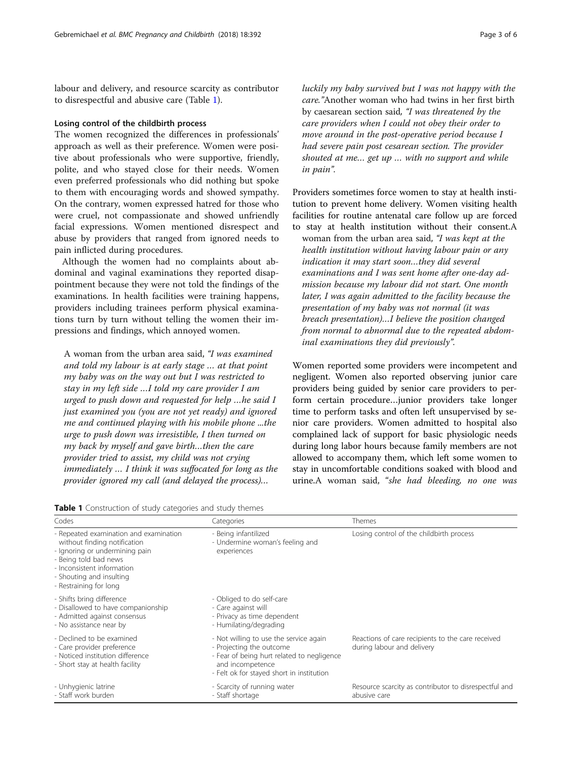labour and delivery, and resource scarcity as contributor to disrespectful and abusive care (Table 1).

#### Losing control of the childbirth process

The women recognized the differences in professionals' approach as well as their preference. Women were positive about professionals who were supportive, friendly, polite, and who stayed close for their needs. Women even preferred professionals who did nothing but spoke to them with encouraging words and showed sympathy. On the contrary, women expressed hatred for those who were cruel, not compassionate and showed unfriendly facial expressions. Women mentioned disrespect and abuse by providers that ranged from ignored needs to pain inflicted during procedures.

Although the women had no complaints about abdominal and vaginal examinations they reported disappointment because they were not told the findings of the examinations. In health facilities were training happens, providers including trainees perform physical examinations turn by turn without telling the women their impressions and findings, which annoyed women.

A woman from the urban area said, "I was examined and told my labour is at early stage … at that point my baby was on the way out but I was restricted to stay in my left side …I told my care provider I am urged to push down and requested for help …he said I just examined you (you are not yet ready) and ignored me and continued playing with his mobile phone ...the urge to push down was irresistible, I then turned on my back by myself and gave birth…then the care provider tried to assist, my child was not crying immediately … I think it was suffocated for long as the provider ignored my call (and delayed the process)…

luckily my baby survived but I was not happy with the care."Another woman who had twins in her first birth by caesarean section said, "I was threatened by the care providers when I could not obey their order to move around in the post-operative period because I had severe pain post cesarean section. The provider shouted at me… get up … with no support and while in pain".

Providers sometimes force women to stay at health institution to prevent home delivery. Women visiting health facilities for routine antenatal care follow up are forced to stay at health institution without their consent.A woman from the urban area said, "I was kept at the health institution without having labour pain or any indication it may start soon…they did several examinations and I was sent home after one-day admission because my labour did not start. One month later, I was again admitted to the facility because the presentation of my baby was not normal (it was breach presentation)…I believe the position changed from normal to abnormal due to the repeated abdominal examinations they did previously".

Women reported some providers were incompetent and negligent. Women also reported observing junior care providers being guided by senior care providers to perform certain procedure…junior providers take longer time to perform tasks and often left unsupervised by senior care providers. Women admitted to hospital also complained lack of support for basic physiologic needs during long labor hours because family members are not allowed to accompany them, which left some women to stay in uncomfortable conditions soaked with blood and urine.A woman said, "she had bleeding, no one was

Table 1 Construction of study categories and study themes

| Codes                                                                                                                                                                                                                 | Categories                                                                                                                                                                        | Themes                                                                          |
|-----------------------------------------------------------------------------------------------------------------------------------------------------------------------------------------------------------------------|-----------------------------------------------------------------------------------------------------------------------------------------------------------------------------------|---------------------------------------------------------------------------------|
| - Repeated examination and examination<br>without finding notification<br>- Ignoring or undermining pain<br>- Being told bad news<br>- Inconsistent information<br>- Shouting and insulting<br>- Restraining for long | - Being infantilized<br>- Undermine woman's feeling and<br>experiences                                                                                                            | Losing control of the childbirth process                                        |
| - Shifts bring difference<br>- Disallowed to have companionship<br>- Admitted against consensus<br>- No assistance near by                                                                                            | - Obliged to do self-care<br>- Care against will<br>- Privacy as time dependent<br>- Humilating/degrading                                                                         |                                                                                 |
| - Declined to be examined<br>- Care provider preference<br>- Noticed institution difference<br>- Short stay at health facility                                                                                        | - Not willing to use the service again<br>- Projecting the outcome<br>- Fear of being hurt related to negligence<br>and incompetence<br>- Felt ok for stayed short in institution | Reactions of care recipients to the care received<br>during labour and delivery |
| - Unhygienic latrine<br>- Staff work burden                                                                                                                                                                           | - Scarcity of running water<br>- Staff shortage                                                                                                                                   | Resource scarcity as contributor to disrespectful and<br>abusive care           |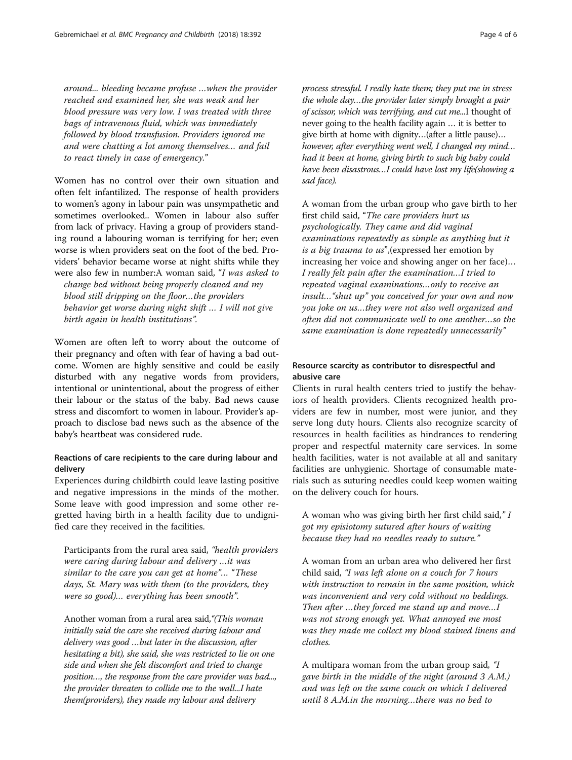around... bleeding became profuse …when the provider reached and examined her, she was weak and her blood pressure was very low. I was treated with three bags of intravenous fluid, which was immediately followed by blood transfusion. Providers ignored me and were chatting a lot among themselves… and fail to react timely in case of emergency."

Women has no control over their own situation and often felt infantilized. The response of health providers to women's agony in labour pain was unsympathetic and sometimes overlooked.. Women in labour also suffer from lack of privacy. Having a group of providers standing round a labouring woman is terrifying for her; even worse is when providers seat on the foot of the bed. Providers' behavior became worse at night shifts while they were also few in number:A woman said, "I was asked to

change bed without being properly cleaned and my blood still dripping on the floor…the providers behavior get worse during night shift … I will not give birth again in health institutions".

Women are often left to worry about the outcome of their pregnancy and often with fear of having a bad outcome. Women are highly sensitive and could be easily disturbed with any negative words from providers, intentional or unintentional, about the progress of either their labour or the status of the baby. Bad news cause stress and discomfort to women in labour. Provider's approach to disclose bad news such as the absence of the baby's heartbeat was considered rude.

## Reactions of care recipients to the care during labour and delivery

Experiences during childbirth could leave lasting positive and negative impressions in the minds of the mother. Some leave with good impression and some other regretted having birth in a health facility due to undignified care they received in the facilities.

Participants from the rural area said, "health providers were caring during labour and delivery …it was similar to the care you can get at home"… "These days, St. Mary was with them (to the providers, they were so good)… everything has been smooth".

Another woman from a rural area said, "(This woman initially said the care she received during labour and delivery was good …but later in the discussion, after hesitating a bit), she said, she was restricted to lie on one side and when she felt discomfort and tried to change position…, the response from the care provider was bad..., the provider threaten to collide me to the wall...I hate them(providers), they made my labour and delivery

process stressful. I really hate them; they put me in stress the whole day…the provider later simply brought a pair of scissor, which was terrifying, and cut me...I thought of never going to the health facility again … it is better to give birth at home with dignity…(after a little pause)… however, after everything went well, I changed my mind… had it been at home, giving birth to such big baby could have been disastrous…I could have lost my life(showing a sad face).

A woman from the urban group who gave birth to her first child said, "The care providers hurt us psychologically. They came and did vaginal examinations repeatedly as simple as anything but it is a big trauma to us",(expressed her emotion by increasing her voice and showing anger on her face)… I really felt pain after the examination…I tried to repeated vaginal examinations…only to receive an insult…"shut up" you conceived for your own and now you joke on us…they were not also well organized and often did not communicate well to one another…so the same examination is done repeatedly unnecessarily"

## Resource scarcity as contributor to disrespectful and abusive care

Clients in rural health centers tried to justify the behaviors of health providers. Clients recognized health providers are few in number, most were junior, and they serve long duty hours. Clients also recognize scarcity of resources in health facilities as hindrances to rendering proper and respectful maternity care services. In some health facilities, water is not available at all and sanitary facilities are unhygienic. Shortage of consumable materials such as suturing needles could keep women waiting on the delivery couch for hours.

A woman who was giving birth her first child said," I got my episiotomy sutured after hours of waiting because they had no needles ready to suture."

A woman from an urban area who delivered her first child said, "I was left alone on a couch for 7 hours with instruction to remain in the same position, which was inconvenient and very cold without no beddings. Then after …they forced me stand up and move…I was not strong enough yet. What annoyed me most was they made me collect my blood stained linens and clothes.

A multipara woman from the urban group said, "I gave birth in the middle of the night (around 3 A.M.) and was left on the same couch on which I delivered until 8 A.M.in the morning…there was no bed to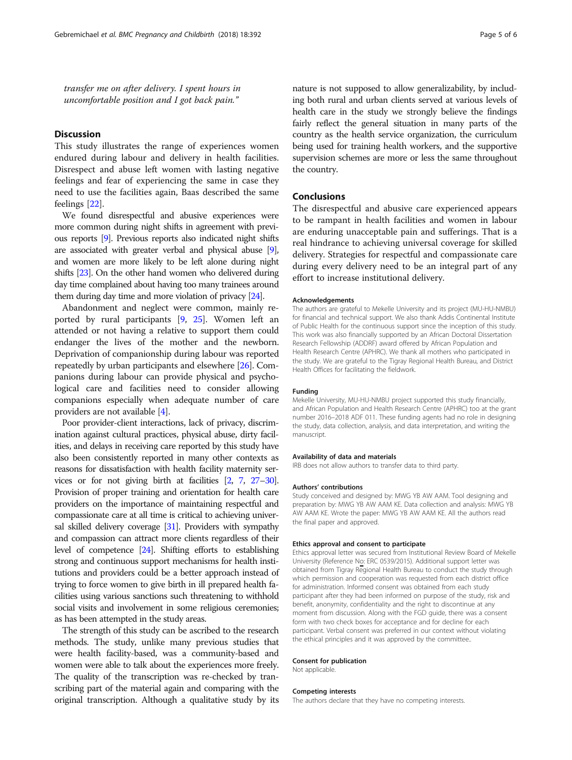transfer me on after delivery. I spent hours in uncomfortable position and I got back pain."

### **Discussion**

This study illustrates the range of experiences women endured during labour and delivery in health facilities. Disrespect and abuse left women with lasting negative feelings and fear of experiencing the same in case they need to use the facilities again, Baas described the same feelings [\[22](#page-5-0)].

We found disrespectful and abusive experiences were more common during night shifts in agreement with previous reports [\[9\]](#page-5-0). Previous reports also indicated night shifts are associated with greater verbal and physical abuse [\[9\]](#page-5-0), and women are more likely to be left alone during night shifts [[23\]](#page-5-0). On the other hand women who delivered during day time complained about having too many trainees around them during day time and more violation of privacy [\[24\]](#page-5-0).

Abandonment and neglect were common, mainly reported by rural participants [[9,](#page-5-0) [25\]](#page-5-0). Women left an attended or not having a relative to support them could endanger the lives of the mother and the newborn. Deprivation of companionship during labour was reported repeatedly by urban participants and elsewhere [[26\]](#page-5-0). Companions during labour can provide physical and psychological care and facilities need to consider allowing companions especially when adequate number of care providers are not available [\[4](#page-5-0)].

Poor provider-client interactions, lack of privacy, discrimination against cultural practices, physical abuse, dirty facilities, and delays in receiving care reported by this study have also been consistently reported in many other contexts as reasons for dissatisfaction with health facility maternity services or for not giving birth at facilities [\[2](#page-5-0), [7](#page-5-0), [27](#page-5-0)–[30](#page-5-0)]. Provision of proper training and orientation for health care providers on the importance of maintaining respectful and compassionate care at all time is critical to achieving univer-sal skilled delivery coverage [[31](#page-5-0)]. Providers with sympathy and compassion can attract more clients regardless of their level of competence [[24\]](#page-5-0). Shifting efforts to establishing strong and continuous support mechanisms for health institutions and providers could be a better approach instead of trying to force women to give birth in ill prepared health facilities using various sanctions such threatening to withhold social visits and involvement in some religious ceremonies; as has been attempted in the study areas.

The strength of this study can be ascribed to the research methods. The study, unlike many previous studies that were health facility-based, was a community-based and women were able to talk about the experiences more freely. The quality of the transcription was re-checked by transcribing part of the material again and comparing with the original transcription. Although a qualitative study by its

nature is not supposed to allow generalizability, by including both rural and urban clients served at various levels of health care in the study we strongly believe the findings fairly reflect the general situation in many parts of the country as the health service organization, the curriculum being used for training health workers, and the supportive supervision schemes are more or less the same throughout the country.

#### Conclusions

The disrespectful and abusive care experienced appears to be rampant in health facilities and women in labour are enduring unacceptable pain and sufferings. That is a real hindrance to achieving universal coverage for skilled delivery. Strategies for respectful and compassionate care during every delivery need to be an integral part of any effort to increase institutional delivery.

#### Acknowledgements

The authors are grateful to Mekelle University and its project (MU-HU-NMBU) for financial and technical support. We also thank Addis Continental Institute of Public Health for the continuous support since the inception of this study. This work was also financially supported by an African Doctoral Dissertation Research Fellowship (ADDRF) award offered by African Population and Health Research Centre (APHRC). We thank all mothers who participated in the study. We are grateful to the Tigray Regional Health Bureau, and District Health Offices for facilitating the fieldwork.

#### Funding

Mekelle University, MU-HU-NMBU project supported this study financially, and African Population and Health Research Centre (APHRC) too at the grant number 2016–2018 ADF 011. These funding agents had no role in designing the study, data collection, analysis, and data interpretation, and writing the manuscript.

#### Availability of data and materials

IRB does not allow authors to transfer data to third party.

#### Authors' contributions

Study conceived and designed by: MWG YB AW AAM. Tool designing and preparation by: MWG YB AW AAM KE. Data collection and analysis: MWG YB AW AAM KE. Wrote the paper: MWG YB AW AAM KE. All the authors read the final paper and approved.

#### Ethics approval and consent to participate

Ethics approval letter was secured from Institutional Review Board of Mekelle University (Reference No: ERC 0539/2015). Additional support letter was obtained from Tigray Regional Health Bureau to conduct the study through which permission and cooperation was requested from each district office for administration. Informed consent was obtained from each study participant after they had been informed on purpose of the study, risk and benefit, anonymity, confidentiality and the right to discontinue at any moment from discussion. Along with the FGD guide, there was a consent form with two check boxes for acceptance and for decline for each participant. Verbal consent was preferred in our context without violating the ethical principles and it was approved by the committee..

#### Consent for publication

Not applicable.

#### Competing interests

The authors declare that they have no competing interests.